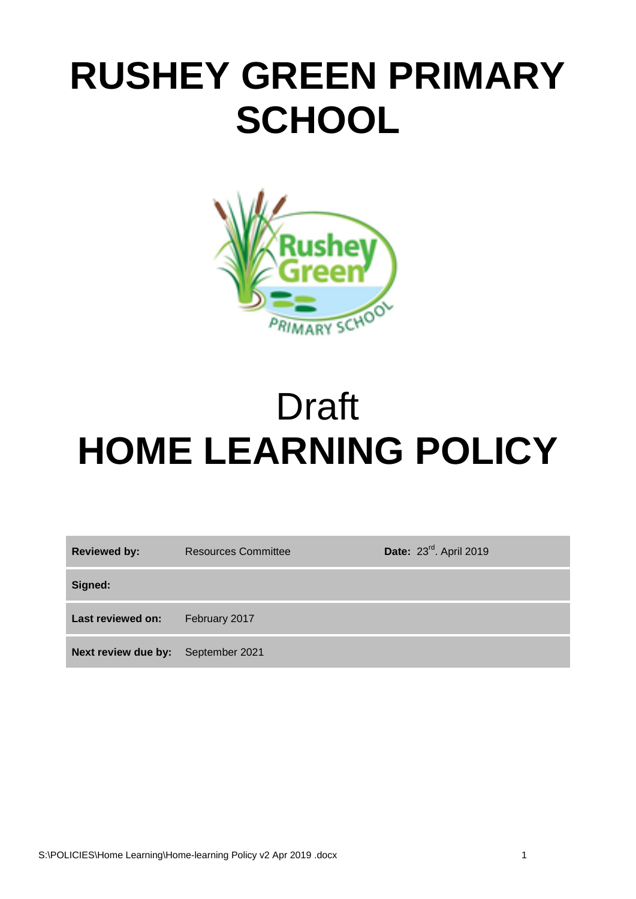# **RUSHEY GREEN PRIMARY SCHOOL**



# Draft **HOME LEARNING POLICY**

| <b>Reviewed by:</b>                | <b>Resources Committee</b> | Date: 23rd. April 2019 |
|------------------------------------|----------------------------|------------------------|
| Signed:                            |                            |                        |
| Last reviewed on:                  | February 2017              |                        |
| Next review due by: September 2021 |                            |                        |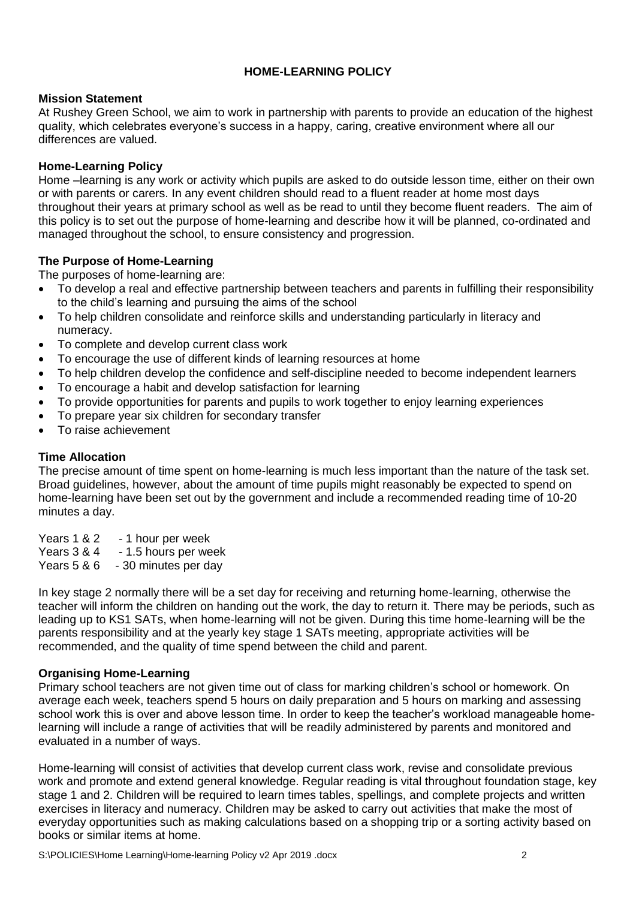# **HOME-LEARNING POLICY**

## **Mission Statement**

At Rushey Green School, we aim to work in partnership with parents to provide an education of the highest quality, which celebrates everyone's success in a happy, caring, creative environment where all our differences are valued.

## **Home-Learning Policy**

Home –learning is any work or activity which pupils are asked to do outside lesson time, either on their own or with parents or carers. In any event children should read to a fluent reader at home most days throughout their years at primary school as well as be read to until they become fluent readers. The aim of this policy is to set out the purpose of home-learning and describe how it will be planned, co-ordinated and managed throughout the school, to ensure consistency and progression.

## **The Purpose of Home-Learning**

The purposes of home-learning are:

- To develop a real and effective partnership between teachers and parents in fulfilling their responsibility to the child's learning and pursuing the aims of the school
- To help children consolidate and reinforce skills and understanding particularly in literacy and numeracy.
- To complete and develop current class work
- To encourage the use of different kinds of learning resources at home
- To help children develop the confidence and self-discipline needed to become independent learners
- To encourage a habit and develop satisfaction for learning
- To provide opportunities for parents and pupils to work together to enjoy learning experiences
- To prepare year six children for secondary transfer
- To raise achievement

## **Time Allocation**

The precise amount of time spent on home-learning is much less important than the nature of the task set. Broad guidelines, however, about the amount of time pupils might reasonably be expected to spend on home-learning have been set out by the government and include a recommended reading time of 10-20 minutes a day.

Years 1 & 2 - 1 hour per week Years 3 & 4 - 1.5 hours per week Years 5 & 6 - 30 minutes per day

In key stage 2 normally there will be a set day for receiving and returning home-learning, otherwise the teacher will inform the children on handing out the work, the day to return it. There may be periods, such as leading up to KS1 SATs, when home-learning will not be given. During this time home-learning will be the parents responsibility and at the yearly key stage 1 SATs meeting, appropriate activities will be recommended, and the quality of time spend between the child and parent.

#### **Organising Home-Learning**

Primary school teachers are not given time out of class for marking children's school or homework. On average each week, teachers spend 5 hours on daily preparation and 5 hours on marking and assessing school work this is over and above lesson time. In order to keep the teacher's workload manageable homelearning will include a range of activities that will be readily administered by parents and monitored and evaluated in a number of ways.

Home-learning will consist of activities that develop current class work, revise and consolidate previous work and promote and extend general knowledge. Regular reading is vital throughout foundation stage, key stage 1 and 2. Children will be required to learn times tables, spellings, and complete projects and written exercises in literacy and numeracy. Children may be asked to carry out activities that make the most of everyday opportunities such as making calculations based on a shopping trip or a sorting activity based on books or similar items at home.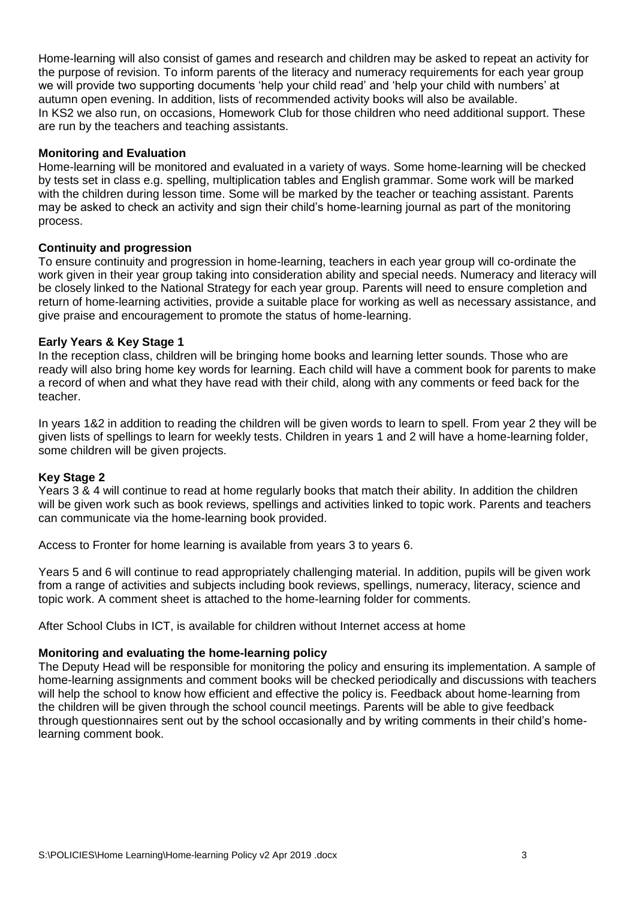Home-learning will also consist of games and research and children may be asked to repeat an activity for the purpose of revision. To inform parents of the literacy and numeracy requirements for each year group we will provide two supporting documents 'help your child read' and 'help your child with numbers' at autumn open evening. In addition, lists of recommended activity books will also be available. In KS2 we also run, on occasions, Homework Club for those children who need additional support. These are run by the teachers and teaching assistants.

## **Monitoring and Evaluation**

Home-learning will be monitored and evaluated in a variety of ways. Some home-learning will be checked by tests set in class e.g. spelling, multiplication tables and English grammar. Some work will be marked with the children during lesson time. Some will be marked by the teacher or teaching assistant. Parents may be asked to check an activity and sign their child's home-learning journal as part of the monitoring process.

## **Continuity and progression**

To ensure continuity and progression in home-learning, teachers in each year group will co-ordinate the work given in their year group taking into consideration ability and special needs. Numeracy and literacy will be closely linked to the National Strategy for each year group. Parents will need to ensure completion and return of home-learning activities, provide a suitable place for working as well as necessary assistance, and give praise and encouragement to promote the status of home-learning.

## **Early Years & Key Stage 1**

In the reception class, children will be bringing home books and learning letter sounds. Those who are ready will also bring home key words for learning. Each child will have a comment book for parents to make a record of when and what they have read with their child, along with any comments or feed back for the teacher.

In years 1&2 in addition to reading the children will be given words to learn to spell. From year 2 they will be given lists of spellings to learn for weekly tests. Children in years 1 and 2 will have a home-learning folder, some children will be given projects.

#### **Key Stage 2**

Years 3 & 4 will continue to read at home regularly books that match their ability. In addition the children will be given work such as book reviews, spellings and activities linked to topic work. Parents and teachers can communicate via the home-learning book provided.

Access to Fronter for home learning is available from years 3 to years 6.

Years 5 and 6 will continue to read appropriately challenging material. In addition, pupils will be given work from a range of activities and subjects including book reviews, spellings, numeracy, literacy, science and topic work. A comment sheet is attached to the home-learning folder for comments.

After School Clubs in ICT, is available for children without Internet access at home

#### **Monitoring and evaluating the home-learning policy**

The Deputy Head will be responsible for monitoring the policy and ensuring its implementation. A sample of home-learning assignments and comment books will be checked periodically and discussions with teachers will help the school to know how efficient and effective the policy is. Feedback about home-learning from the children will be given through the school council meetings. Parents will be able to give feedback through questionnaires sent out by the school occasionally and by writing comments in their child's homelearning comment book.